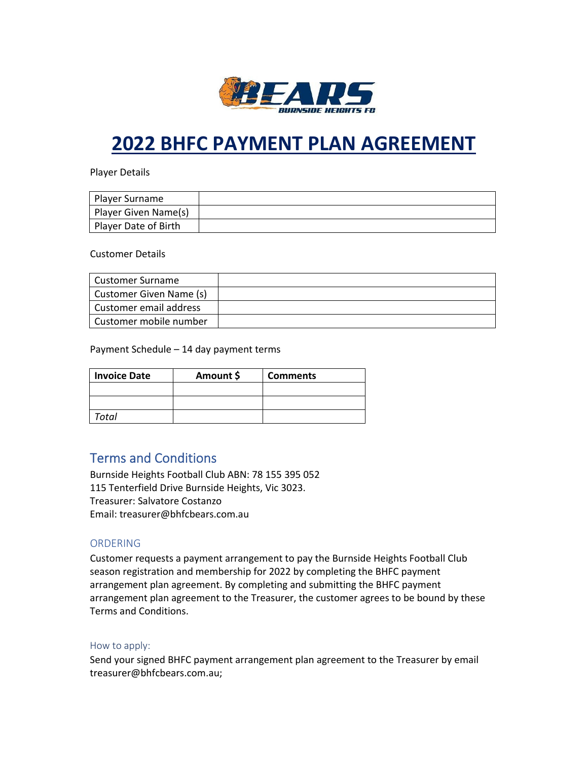

# **2022 BHFC PAYMENT PLAN AGREEMENT**

Player Details

| Player Surname       |  |
|----------------------|--|
| Player Given Name(s) |  |
| Player Date of Birth |  |

Customer Details

| l Customer Surname      |  |
|-------------------------|--|
| Customer Given Name (s) |  |
| Customer email address  |  |
| Customer mobile number  |  |

Payment Schedule – 14 day payment terms

| <b>Invoice Date</b> | Amount \$ | <b>Comments</b> |
|---------------------|-----------|-----------------|
|                     |           |                 |
|                     |           |                 |
| Total               |           |                 |

## Terms and Conditions

Burnside Heights Football Club ABN: 78 155 395 052 115 Tenterfield Drive Burnside Heights, Vic 3023. Treasurer: Salvatore Costanzo Email: treasurer@bhfcbears.com.au

#### ORDERING

Customer requests a payment arrangement to pay the Burnside Heights Football Club season registration and membership for 2022 by completing the BHFC payment arrangement plan agreement. By completing and submitting the BHFC payment arrangement plan agreement to the Treasurer, the customer agrees to be bound by these Terms and Conditions.

#### How to apply:

Send your signed BHFC payment arrangement plan agreement to the Treasurer by email treasurer@bhfcbears.com.au;